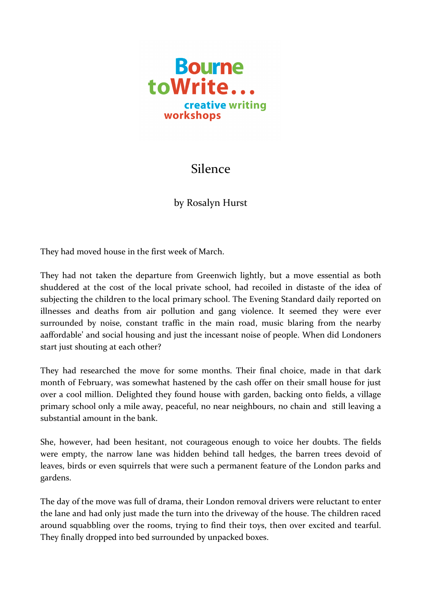

## Silence

by Rosalyn Hurst

They had moved house in the first week of March.

They had not taken the departure from Greenwich lightly, but a move essential as both shuddered at the cost of the local private school, had recoiled in distaste of the idea of subjecting the children to the local primary school. The Evening Standard daily reported on illnesses and deaths from air pollution and gang violence. It seemed they were ever surrounded by noise, constant traffic in the main road, music blaring from the nearby aaffordable' and social housing and just the incessant noise of people. When did Londoners start just shouting at each other?

They had researched the move for some months. Their final choice, made in that dark month of February, was somewhat hastened by the cash offer on their small house for just over a cool million. Delighted they found house with garden, backing onto fields, a village primary school only a mile away, peaceful, no near neighbours, no chain and still leaving a substantial amount in the bank.

She, however, had been hesitant, not courageous enough to voice her doubts. The fields were empty, the narrow lane was hidden behind tall hedges, the barren trees devoid of leaves, birds or even squirrels that were such a permanent feature of the London parks and gardens.

The day of the move was full of drama, their London removal drivers were reluctant to enter the lane and had only just made the turn into the driveway of the house. The children raced around squabbling over the rooms, trying to find their toys, then over excited and tearful. They finally dropped into bed surrounded by unpacked boxes.